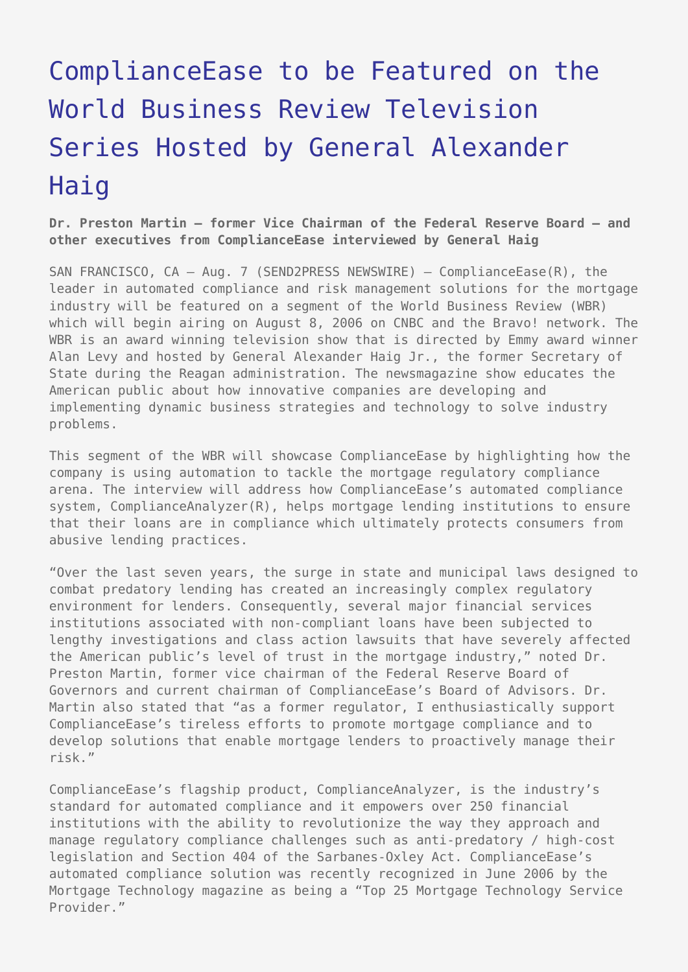## [ComplianceEase to be Featured on the](https://www.send2press.com/wire/2006-08-0807-001/) [World Business Review Television](https://www.send2press.com/wire/2006-08-0807-001/) [Series Hosted by General Alexander](https://www.send2press.com/wire/2006-08-0807-001/) [Haig](https://www.send2press.com/wire/2006-08-0807-001/)

**Dr. Preston Martin – former Vice Chairman of the Federal Reserve Board – and other executives from ComplianceEase interviewed by General Haig**

SAN FRANCISCO, CA - Aug. 7 (SEND2PRESS NEWSWIRE) - ComplianceEase(R), the leader in automated compliance and risk management solutions for the mortgage industry will be featured on a segment of the World Business Review (WBR) which will begin airing on August 8, 2006 on CNBC and the Bravo! network. The WBR is an award winning television show that is directed by Emmy award winner Alan Levy and hosted by General Alexander Haig Jr., the former Secretary of State during the Reagan administration. The newsmagazine show educates the American public about how innovative companies are developing and implementing dynamic business strategies and technology to solve industry problems.

This segment of the WBR will showcase ComplianceEase by highlighting how the company is using automation to tackle the mortgage regulatory compliance arena. The interview will address how ComplianceEase's automated compliance system, ComplianceAnalyzer(R), helps mortgage lending institutions to ensure that their loans are in compliance which ultimately protects consumers from abusive lending practices.

"Over the last seven years, the surge in state and municipal laws designed to combat predatory lending has created an increasingly complex regulatory environment for lenders. Consequently, several major financial services institutions associated with non-compliant loans have been subjected to lengthy investigations and class action lawsuits that have severely affected the American public's level of trust in the mortgage industry," noted Dr. Preston Martin, former vice chairman of the Federal Reserve Board of Governors and current chairman of ComplianceEase's Board of Advisors. Dr. Martin also stated that "as a former regulator, I enthusiastically support ComplianceEase's tireless efforts to promote mortgage compliance and to develop solutions that enable mortgage lenders to proactively manage their risk."

ComplianceEase's flagship product, ComplianceAnalyzer, is the industry's standard for automated compliance and it empowers over 250 financial institutions with the ability to revolutionize the way they approach and manage regulatory compliance challenges such as anti-predatory / high-cost legislation and Section 404 of the Sarbanes-Oxley Act. ComplianceEase's automated compliance solution was recently recognized in June 2006 by the Mortgage Technology magazine as being a "Top 25 Mortgage Technology Service Provider."